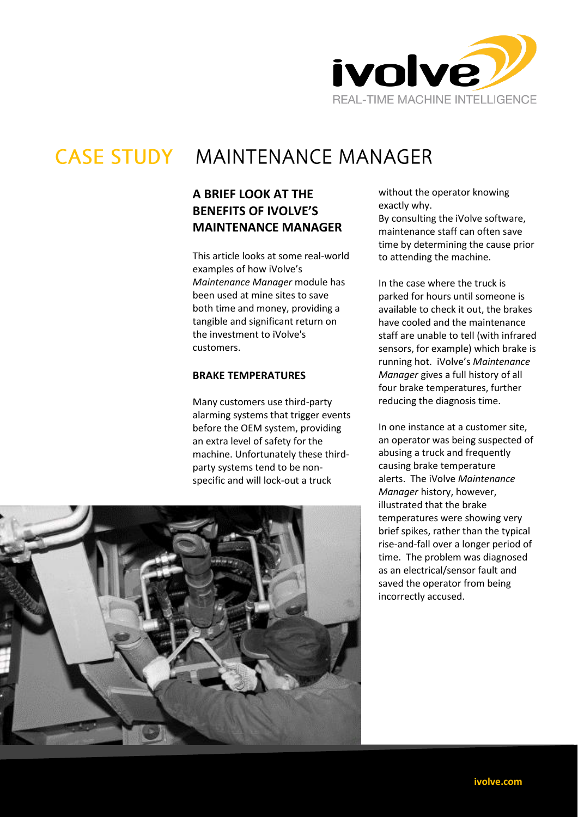

# **CASE STUDY MAINTENANCE MANAGER**

## **A BRIEF LOOK AT THE BENEFITS OF IVOLVE'S MAINTENANCE MANAGER**

This article looks at some real-world examples of how iVolve's *Maintenance Manager* module has been used at mine sites to save both time and money, providing a tangible and significant return on the investment to iVolve's customers.

### **BRAKE TEMPERATURES**

Many customers use third-party alarming systems that trigger events before the OEM system, providing an extra level of safety for the machine. Unfortunately these thirdparty systems tend to be nonspecific and will lock-out a truck



without the operator knowing exactly why.

By consulting the iVolve software, maintenance staff can often save time by determining the cause prior to attending the machine.

In the case where the truck is parked for hours until someone is available to check it out, the brakes have cooled and the maintenance staff are unable to tell (with infrared sensors, for example) which brake is running hot. iVolve's *Maintenance Manager* gives a full history of all four brake temperatures, further reducing the diagnosis time.

In one instance at a customer site, an operator was being suspected of abusing a truck and frequently causing brake temperature alerts. The iVolve *Maintenance Manager* history, however, illustrated that the brake temperatures were showing very brief spikes, rather than the typical rise-and-fall over a longer period of time. The problem was diagnosed as an electrical/sensor fault and saved the operator from being incorrectly accused.